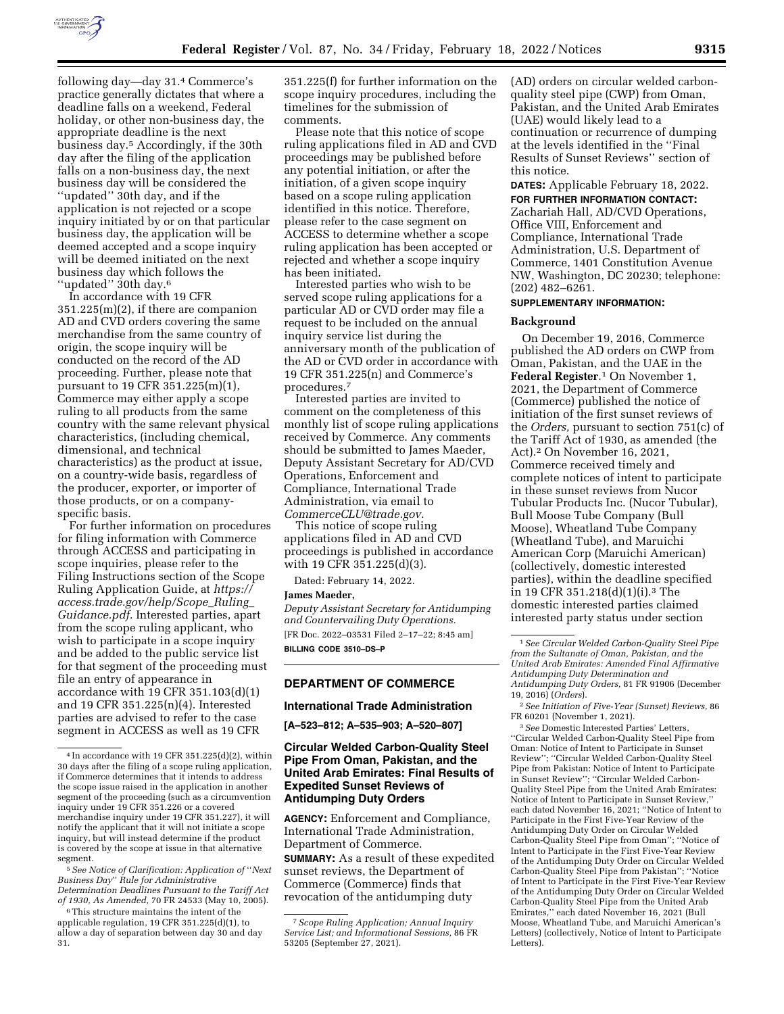

following day—day 31.4 Commerce's practice generally dictates that where a deadline falls on a weekend, Federal holiday, or other non-business day, the appropriate deadline is the next business day.5 Accordingly, if the 30th day after the filing of the application falls on a non-business day, the next business day will be considered the ''updated'' 30th day, and if the application is not rejected or a scope inquiry initiated by or on that particular business day, the application will be deemed accepted and a scope inquiry will be deemed initiated on the next business day which follows the ''updated'' 30th day.6

In accordance with 19 CFR 351.225(m)(2), if there are companion AD and CVD orders covering the same merchandise from the same country of origin, the scope inquiry will be conducted on the record of the AD proceeding. Further, please note that pursuant to 19 CFR 351.225(m)(1), Commerce may either apply a scope ruling to all products from the same country with the same relevant physical characteristics, (including chemical, dimensional, and technical characteristics) as the product at issue, on a country-wide basis, regardless of the producer, exporter, or importer of those products, or on a companyspecific basis.

For further information on procedures for filing information with Commerce through ACCESS and participating in scope inquiries, please refer to the Filing Instructions section of the Scope Ruling Application Guide, at *https:// access.trade.gov/help/Scope*\_*Ruling*\_ *Guidance.pdf.* Interested parties, apart from the scope ruling applicant, who wish to participate in a scope inquiry and be added to the public service list for that segment of the proceeding must file an entry of appearance in accordance with 19 CFR 351.103(d)(1) and 19 CFR 351.225(n)(4). Interested parties are advised to refer to the case segment in ACCESS as well as 19 CFR

351.225(f) for further information on the scope inquiry procedures, including the timelines for the submission of comments.

Please note that this notice of scope ruling applications filed in AD and CVD proceedings may be published before any potential initiation, or after the initiation, of a given scope inquiry based on a scope ruling application identified in this notice. Therefore, please refer to the case segment on ACCESS to determine whether a scope ruling application has been accepted or rejected and whether a scope inquiry has been initiated.

Interested parties who wish to be served scope ruling applications for a particular AD or CVD order may file a request to be included on the annual inquiry service list during the anniversary month of the publication of the AD or CVD order in accordance with 19 CFR 351.225(n) and Commerce's procedures.7

Interested parties are invited to comment on the completeness of this monthly list of scope ruling applications received by Commerce. Any comments should be submitted to James Maeder, Deputy Assistant Secretary for AD/CVD Operations, Enforcement and Compliance, International Trade Administration, via email to *CommerceCLU@trade.gov.* 

This notice of scope ruling applications filed in AD and CVD proceedings is published in accordance with 19 CFR 351.225(d)(3).

Dated: February 14, 2022.

#### **James Maeder,**

*Deputy Assistant Secretary for Antidumping and Countervailing Duty Operations.*  [FR Doc. 2022–03531 Filed 2–17–22; 8:45 am] **BILLING CODE 3510–DS–P** 

# **DEPARTMENT OF COMMERCE**

## **International Trade Administration**

**[A–523–812; A–535–903; A–520–807]** 

# **Circular Welded Carbon-Quality Steel Pipe From Oman, Pakistan, and the United Arab Emirates: Final Results of Expedited Sunset Reviews of Antidumping Duty Orders**

**AGENCY:** Enforcement and Compliance, International Trade Administration, Department of Commerce.

**SUMMARY:** As a result of these expedited sunset reviews, the Department of Commerce (Commerce) finds that revocation of the antidumping duty

(AD) orders on circular welded carbonquality steel pipe (CWP) from Oman, Pakistan, and the United Arab Emirates (UAE) would likely lead to a continuation or recurrence of dumping at the levels identified in the ''Final Results of Sunset Reviews'' section of this notice.

**DATES:** Applicable February 18, 2022.

**FOR FURTHER INFORMATION CONTACT:**  Zachariah Hall, AD/CVD Operations, Office VIII, Enforcement and Compliance, International Trade Administration, U.S. Department of Commerce, 1401 Constitution Avenue NW, Washington, DC 20230; telephone: (202) 482–6261.

# **SUPPLEMENTARY INFORMATION:**

## **Background**

On December 19, 2016, Commerce published the AD orders on CWP from Oman, Pakistan, and the UAE in the **Federal Register**.1 On November 1, 2021, the Department of Commerce (Commerce) published the notice of initiation of the first sunset reviews of the *Orders,* pursuant to section 751(c) of the Tariff Act of 1930, as amended (the Act).2 On November 16, 2021, Commerce received timely and complete notices of intent to participate in these sunset reviews from Nucor Tubular Products Inc. (Nucor Tubular), Bull Moose Tube Company (Bull Moose), Wheatland Tube Company (Wheatland Tube), and Maruichi American Corp (Maruichi American) (collectively, domestic interested parties), within the deadline specified in 19 CFR 351.218(d)(1)(i).3 The domestic interested parties claimed interested party status under section

3*See* Domestic Interested Parties' Letters, ''Circular Welded Carbon-Quality Steel Pipe from Oman: Notice of Intent to Participate in Sunset Review''; ''Circular Welded Carbon-Quality Steel Pipe from Pakistan: Notice of Intent to Participate in Sunset Review''; ''Circular Welded Carbon-Quality Steel Pipe from the United Arab Emirates: Notice of Intent to Participate in Sunset Review,'' each dated November 16, 2021; ''Notice of Intent to Participate in the First Five-Year Review of the Antidumping Duty Order on Circular Welded Carbon-Quality Steel Pipe from Oman''; ''Notice of Intent to Participate in the First Five-Year Review of the Antidumping Duty Order on Circular Welded Carbon-Quality Steel Pipe from Pakistan''; ''Notice of Intent to Participate in the First Five-Year Review of the Antidumping Duty Order on Circular Welded Carbon-Quality Steel Pipe from the United Arab Emirates,'' each dated November 16, 2021 (Bull Moose, Wheatland Tube, and Maruichi American's Letters) (collectively, Notice of Intent to Participate Letters).

<sup>4</sup> In accordance with 19 CFR 351.225(d)(2), within 30 days after the filing of a scope ruling application, if Commerce determines that it intends to address the scope issue raised in the application in another segment of the proceeding (such as a circumvention inquiry under 19 CFR 351.226 or a covered merchandise inquiry under 19 CFR 351.227), it will notify the applicant that it will not initiate a scope inquiry, but will instead determine if the product is covered by the scope at issue in that alternative segment.

<sup>5</sup>*See Notice of Clarification: Application of* ''*Next Business Day*'' *Rule for Administrative Determination Deadlines Pursuant to the Tariff Act of 1930, As Amended,* 70 FR 24533 (May 10, 2005).

<sup>6</sup>This structure maintains the intent of the applicable regulation, 19 CFR 351.225(d)(1), to allow a day of separation between day 30 and day 31.

<sup>7</sup>*Scope Ruling Application; Annual Inquiry Service List; and Informational Sessions,* 86 FR 53205 (September 27, 2021).

<sup>1</sup>*See Circular Welded Carbon-Quality Steel Pipe from the Sultanate of Oman, Pakistan, and the United Arab Emirates: Amended Final Affirmative Antidumping Duty Determination and Antidumping Duty Orders,* 81 FR 91906 (December 19, 2016) (*Orders*).

<sup>2</sup>*See Initiation of Five-Year (Sunset) Reviews,* 86 FR 60201 (November 1, 2021).